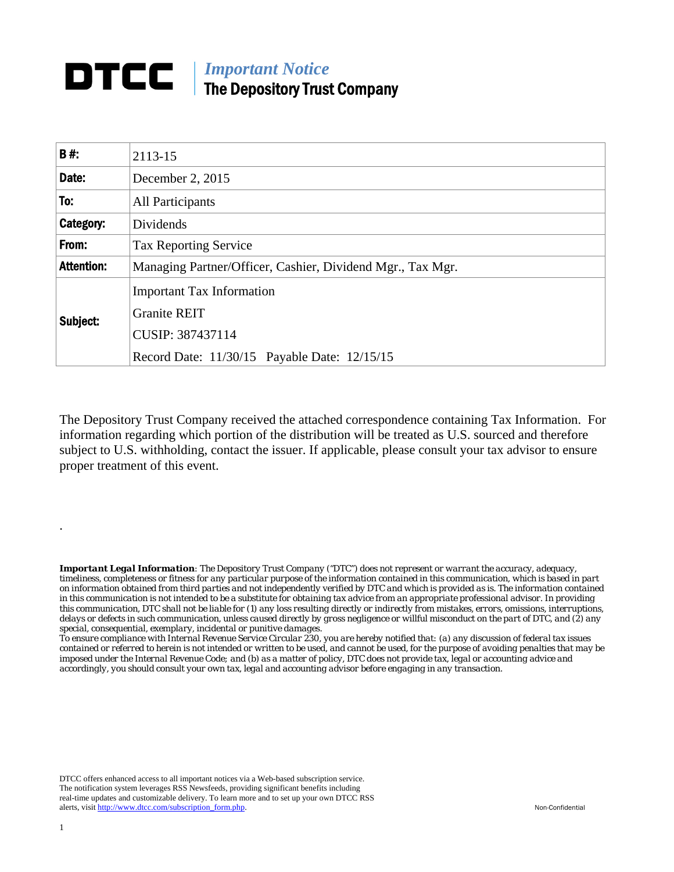## *Important Notice*  The Depository Trust Company

| <b>B#:</b>        | 2113-15                                                                                                                     |
|-------------------|-----------------------------------------------------------------------------------------------------------------------------|
| Date:             | December 2, 2015                                                                                                            |
| To:               | All Participants                                                                                                            |
| Category:         | Dividends                                                                                                                   |
| From:             | <b>Tax Reporting Service</b>                                                                                                |
| <b>Attention:</b> | Managing Partner/Officer, Cashier, Dividend Mgr., Tax Mgr.                                                                  |
| Subject:          | <b>Important Tax Information</b><br><b>Granite REIT</b><br>CUSIP: 387437114<br>Record Date: 11/30/15 Payable Date: 12/15/15 |

The Depository Trust Company received the attached correspondence containing Tax Information. For information regarding which portion of the distribution will be treated as U.S. sourced and therefore subject to U.S. withholding, contact the issuer. If applicable, please consult your tax advisor to ensure proper treatment of this event.

*Important Legal Information: The Depository Trust Company ("DTC") does not represent or warrant the accuracy, adequacy, timeliness, completeness or fitness for any particular purpose of the information contained in this communication, which is based in part on information obtained from third parties and not independently verified by DTC and which is provided as is. The information contained in this communication is not intended to be a substitute for obtaining tax advice from an appropriate professional advisor. In providing this communication, DTC shall not be liable for (1) any loss resulting directly or indirectly from mistakes, errors, omissions, interruptions, delays or defects in such communication, unless caused directly by gross negligence or willful misconduct on the part of DTC, and (2) any special, consequential, exemplary, incidental or punitive damages.* 

*To ensure compliance with Internal Revenue Service Circular 230, you are hereby notified that: (a) any discussion of federal tax issues contained or referred to herein is not intended or written to be used, and cannot be used, for the purpose of avoiding penalties that may be imposed under the Internal Revenue Code; and (b) as a matter of policy, DTC does not provide tax, legal or accounting advice and accordingly, you should consult your own tax, legal and accounting advisor before engaging in any transaction.*

DTCC offers enhanced access to all important notices via a Web-based subscription service. The notification system leverages RSS Newsfeeds, providing significant benefits including real-time updates and customizable delivery. To learn more and to set up your own DTCC RSS alerts, visit http://www.dtcc.com/subscription\_form.php. Non-Confidential

.